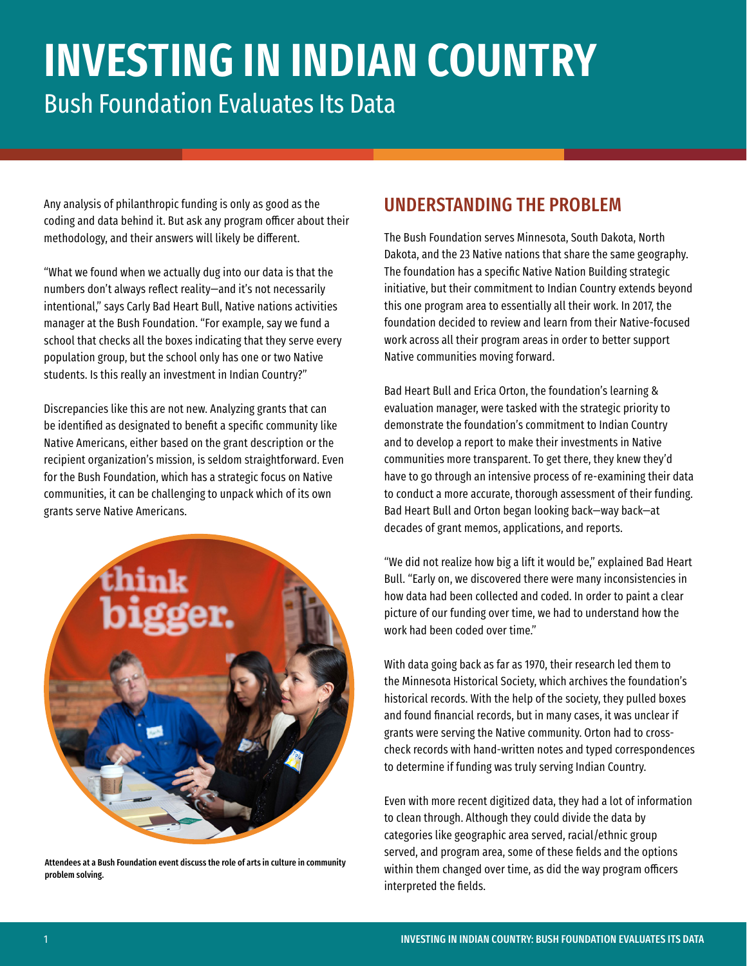# **INVESTING IN INDIAN COUNTRY** Bush Foundation Evaluates Its Data

Any analysis of philanthropic funding is only as good as the coding and data behind it. But ask any program officer about their methodology, and their answers will likely be different.

"What we found when we actually dug into our data is that the numbers don't always reflect reality—and it's not necessarily intentional," says Carly Bad Heart Bull, Native nations activities manager at the Bush Foundation. "For example, say we fund a school that checks all the boxes indicating that they serve every population group, but the school only has one or two Native students. Is this really an investment in Indian Country?"

Discrepancies like this are not new. Analyzing grants that can be identified as designated to benefit a specific community like Native Americans, either based on the grant description or the recipient organization's mission, is seldom straightforward. Even for the Bush Foundation, which has a strategic focus on Native communities, it can be challenging to unpack which of its own grants serve Native Americans.



Attendees at a Bush Foundation event discuss the role of arts in culture in community problem solving.

### UNDERSTANDING THE PROBLEM

The Bush Foundation serves Minnesota, South Dakota, North Dakota, and the 23 Native nations that share the same geography. The foundation has a specific Native Nation Building strategic initiative, but their commitment to Indian Country extends beyond this one program area to essentially all their work. In 2017, the foundation decided to review and learn from their Native-focused work across all their program areas in order to better support Native communities moving forward.

Bad Heart Bull and Erica Orton, the foundation's learning & evaluation manager, were tasked with the strategic priority to demonstrate the foundation's commitment to Indian Country and to develop a report to make their investments in Native communities more transparent. To get there, they knew they'd have to go through an intensive process of re-examining their data to conduct a more accurate, thorough assessment of their funding. Bad Heart Bull and Orton began looking back—way back—at decades of grant memos, applications, and reports.

"We did not realize how big a lift it would be," explained Bad Heart Bull. "Early on, we discovered there were many inconsistencies in how data had been collected and coded. In order to paint a clear picture of our funding over time, we had to understand how the work had been coded over time."

With data going back as far as 1970, their research led them to the Minnesota Historical Society, which archives the foundation's historical records. With the help of the society, they pulled boxes and found financial records, but in many cases, it was unclear if grants were serving the Native community. Orton had to crosscheck records with hand-written notes and typed correspondences to determine if funding was truly serving Indian Country.

Even with more recent digitized data, they had a lot of information to clean through. Although they could divide the data by categories like geographic area served, racial/ethnic group served, and program area, some of these fields and the options within them changed over time, as did the way program officers interpreted the fields.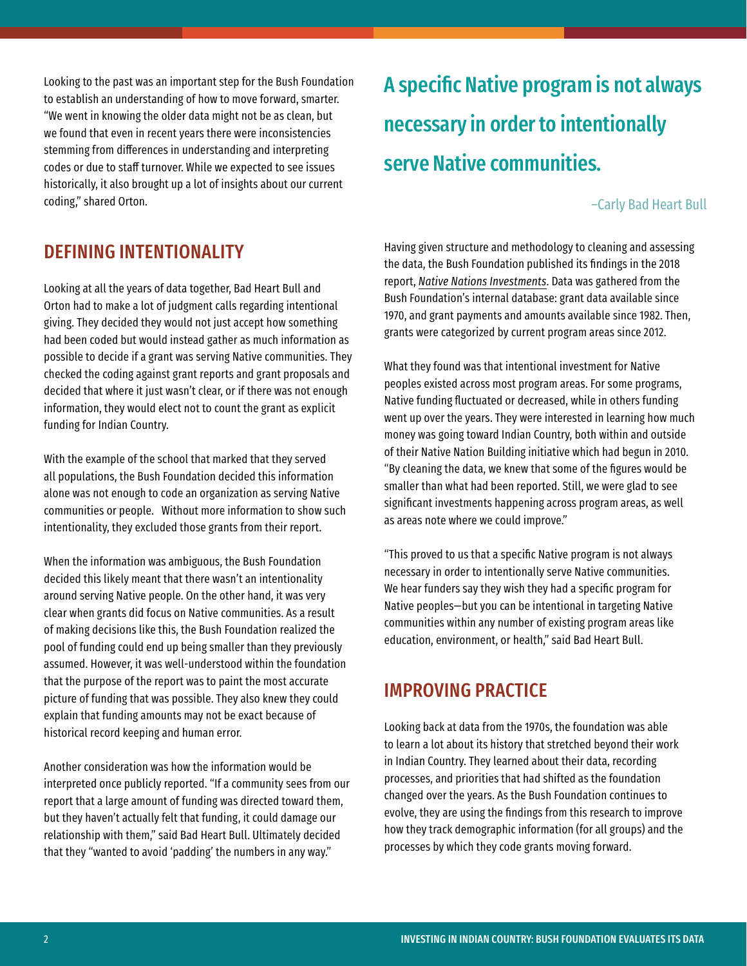Looking to the past was an important step for the Bush Foundation to establish an understanding of how to move forward, smarter. "We went in knowing the older data might not be as clean, but we found that even in recent years there were inconsistencies stemming from differences in understanding and interpreting codes or due to staff turnover. While we expected to see issues historically, it also brought up a lot of insights about our current coding," shared Orton.

#### DEFINING INTENTIONALITY

Looking at all the years of data together, Bad Heart Bull and Orton had to make a lot of judgment calls regarding intentional giving. They decided they would not just accept how something had been coded but would instead gather as much information as possible to decide if a grant was serving Native communities. They checked the coding against grant reports and grant proposals and decided that where it just wasn't clear, or if there was not enough information, they would elect not to count the grant as explicit funding for Indian Country.

With the example of the school that marked that they served all populations, the Bush Foundation decided this information alone was not enough to code an organization as serving Native communities or people. Without more information to show such intentionality, they excluded those grants from their report.

When the information was ambiguous, the Bush Foundation decided this likely meant that there wasn't an intentionality around serving Native people. On the other hand, it was very clear when grants did focus on Native communities. As a result of making decisions like this, the Bush Foundation realized the pool of funding could end up being smaller than they previously assumed. However, it was well-understood within the foundation that the purpose of the report was to paint the most accurate picture of funding that was possible. They also knew they could explain that funding amounts may not be exact because of historical record keeping and human error.

Another consideration was how the information would be interpreted once publicly reported. "If a community sees from our report that a large amount of funding was directed toward them, but they haven't actually felt that funding, it could damage our relationship with them," said Bad Heart Bull. Ultimately decided that they "wanted to avoid 'padding' the numbers in any way."

A specific Native program is not always necessary in order to intentionally serve Native communities.

#### –Carly Bad Heart Bull

Having given structure and methodology to cleaning and assessing the data, the Bush Foundation published its findings in the 2018 report, *[Native Nations Investments](https://www.bushfoundation.org/learning/bush-papers/native-nations-investment-report)*. Data was gathered from the Bush Foundation's internal database: grant data available since 1970, and grant payments and amounts available since 1982. Then, grants were categorized by current program areas since 2012.

What they found was that intentional investment for Native peoples existed across most program areas. For some programs, Native funding fluctuated or decreased, while in others funding went up over the years. They were interested in learning how much money was going toward Indian Country, both within and outside of their Native Nation Building initiative which had begun in 2010. "By cleaning the data, we knew that some of the figures would be smaller than what had been reported. Still, we were glad to see significant investments happening across program areas, as well as areas note where we could improve."

"This proved to us that a specific Native program is not always necessary in order to intentionally serve Native communities. We hear funders say they wish they had a specific program for Native peoples—but you can be intentional in targeting Native communities within any number of existing program areas like education, environment, or health," said Bad Heart Bull.

#### IMPROVING PRACTICE

Looking back at data from the 1970s, the foundation was able to learn a lot about its history that stretched beyond their work in Indian Country. They learned about their data, recording processes, and priorities that had shifted as the foundation changed over the years. As the Bush Foundation continues to evolve, they are using the findings from this research to improve how they track demographic information (for all groups) and the processes by which they code grants moving forward.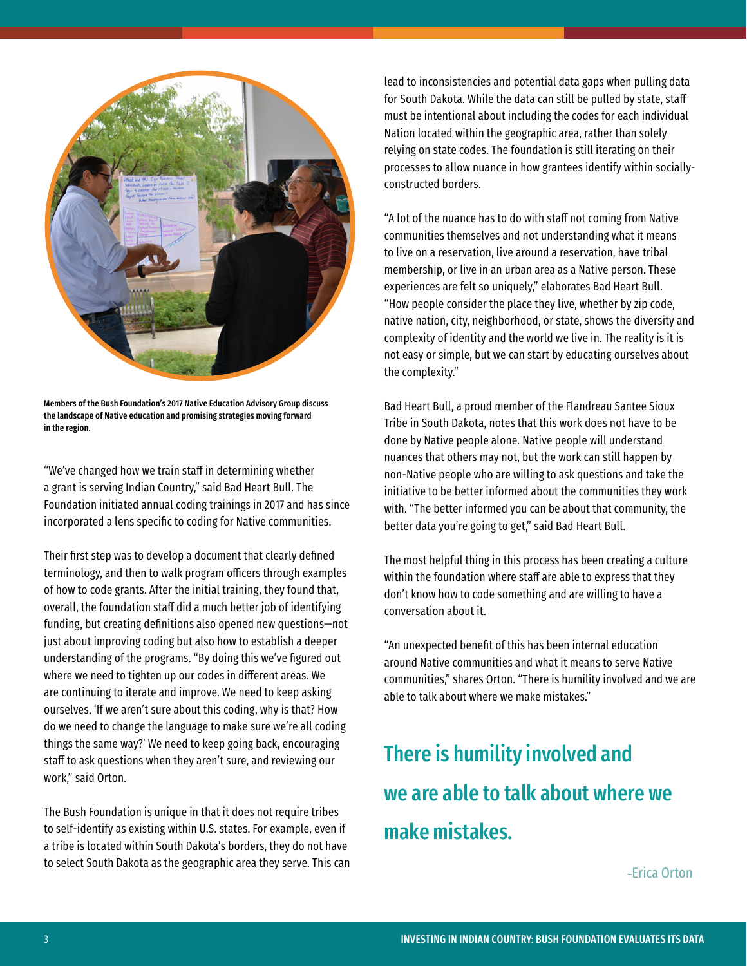

Members of the Bush Foundation's 2017 Native Education Advisory Group discuss the landscape of Native education and promising strategies moving forward in the region.

"We've changed how we train staff in determining whether a grant is serving Indian Country," said Bad Heart Bull. The Foundation initiated annual coding trainings in 2017 and has since incorporated a lens specific to coding for Native communities.

Their first step was to develop a document that clearly defined terminology, and then to walk program officers through examples of how to code grants. After the initial training, they found that, overall, the foundation staff did a much better job of identifying funding, but creating definitions also opened new questions—not just about improving coding but also how to establish a deeper understanding of the programs. "By doing this we've figured out where we need to tighten up our codes in different areas. We are continuing to iterate and improve. We need to keep asking ourselves, 'If we aren't sure about this coding, why is that? How do we need to change the language to make sure we're all coding things the same way?' We need to keep going back, encouraging staff to ask questions when they aren't sure, and reviewing our work," said Orton.

The Bush Foundation is unique in that it does not require tribes to self-identify as existing within U.S. states. For example, even if a tribe is located within South Dakota's borders, they do not have to select South Dakota as the geographic area they serve. This can lead to inconsistencies and potential data gaps when pulling data for South Dakota. While the data can still be pulled by state, staff must be intentional about including the codes for each individual Nation located within the geographic area, rather than solely relying on state codes. The foundation is still iterating on their processes to allow nuance in how grantees identify within sociallyconstructed borders.

"A lot of the nuance has to do with staff not coming from Native communities themselves and not understanding what it means to live on a reservation, live around a reservation, have tribal membership, or live in an urban area as a Native person. These experiences are felt so uniquely," elaborates Bad Heart Bull. "How people consider the place they live, whether by zip code, native nation, city, neighborhood, or state, shows the diversity and complexity of identity and the world we live in. The reality is it is not easy or simple, but we can start by educating ourselves about the complexity."

Bad Heart Bull, a proud member of the Flandreau Santee Sioux Tribe in South Dakota, notes that this work does not have to be done by Native people alone. Native people will understand nuances that others may not, but the work can still happen by non-Native people who are willing to ask questions and take the initiative to be better informed about the communities they work with. "The better informed you can be about that community, the better data you're going to get," said Bad Heart Bull.

The most helpful thing in this process has been creating a culture within the foundation where staff are able to express that they don't know how to code something and are willing to have a conversation about it.

"An unexpected benefit of this has been internal education around Native communities and what it means to serve Native communities," shares Orton. "There is humility involved and we are able to talk about where we make mistakes."

## There is humility involved and we are able to talk about where we make mistakes.

–Erica Orton